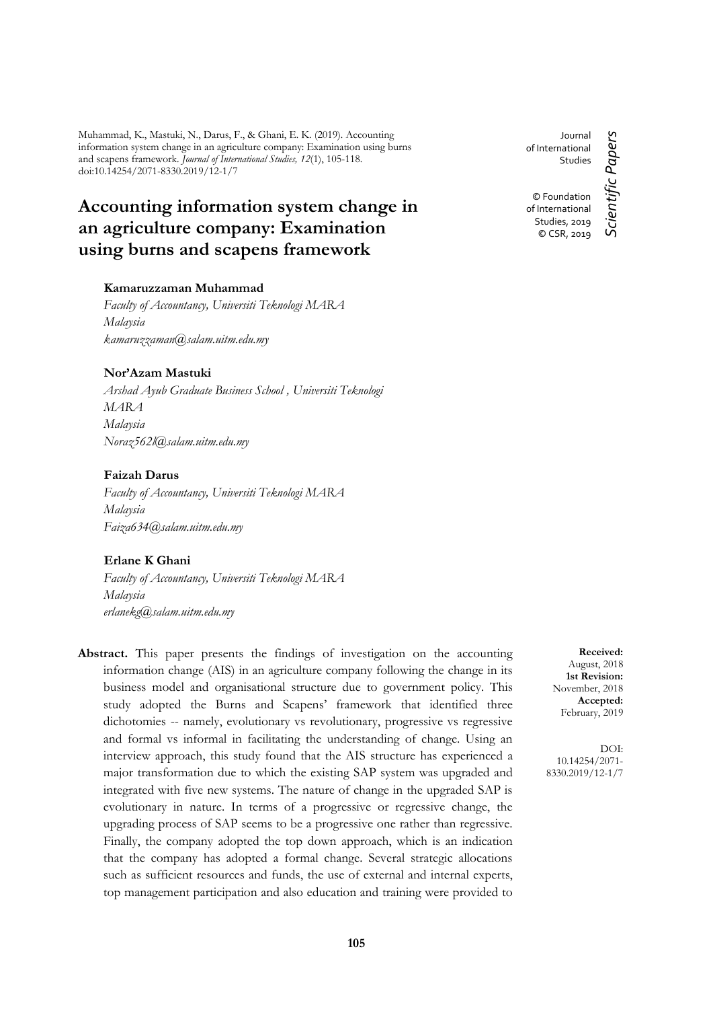Muhammad, K., Mastuki, N., Darus, F., & Ghani, E. K. (2019). Accounting information system change in an agriculture company: Examination using burns and scapens framework. *Journal of International Studies, 12*(1), 105-118. doi:10.14254/2071-8330.2019/12-1/7

# **Accounting information system change in an agriculture company: Examination using burns and scapens framework**

# **Kamaruzzaman Muhammad**

*Faculty of Accountancy, Universiti Teknologi MARA Malaysia kamaruzzaman@salam.uitm.edu.my*

### **Nor'Azam Mastuki**

*Arshad Ayub Graduate Business School , Universiti Teknologi MARA Malaysia Noraz562l@salam.uitm.edu.my*

### **Faizah Darus**

*Faculty of Accountancy, Universiti Teknologi MARA Malaysia Faiza634@salam.uitm.edu.my*

### **Erlane K Ghani**

*Faculty of Accountancy, Universiti Teknologi MARA Malaysia erlanekg@salam.uitm.edu.my*

**Abstract.** This paper presents the findings of investigation on the accounting information change (AIS) in an agriculture company following the change in its business model and organisational structure due to government policy. This study adopted the Burns and Scapens' framework that identified three dichotomies -- namely, evolutionary vs revolutionary, progressive vs regressive and formal vs informal in facilitating the understanding of change. Using an interview approach, this study found that the AIS structure has experienced a major transformation due to which the existing SAP system was upgraded and integrated with five new systems. The nature of change in the upgraded SAP is evolutionary in nature. In terms of a progressive or regressive change, the upgrading process of SAP seems to be a progressive one rather than regressive. Finally, the company adopted the top down approach, which is an indication that the company has adopted a formal change. Several strategic allocations such as sufficient resources and funds, the use of external and internal experts, top management participation and also education and training were provided to

Journal Scientific Papers *Scientific Papers* of International Studies © Foundation of International Studies, 2019 © CSR, 2019

> **Received:** August, 2018 **1st Revision:** November, 2018 **Accepted:** February, 2019

DOI: 10.14254/2071- 8330.2019/12-1/7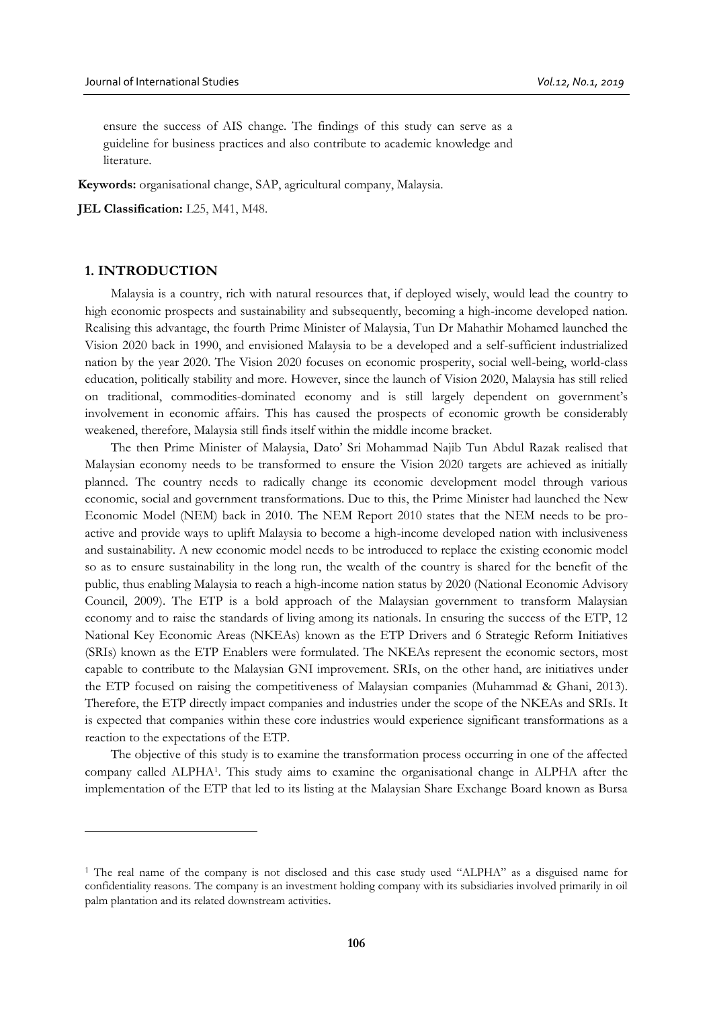ensure the success of AIS change. The findings of this study can serve as a guideline for business practices and also contribute to academic knowledge and literature.

**Keywords:** organisational change, SAP, agricultural company, Malaysia.

**JEL Classification:** L25, M41, M48.

# **1. INTRODUCTION**

<u>.</u>

Malaysia is a country, rich with natural resources that, if deployed wisely, would lead the country to high economic prospects and sustainability and subsequently, becoming a high-income developed nation. Realising this advantage, the fourth Prime Minister of Malaysia, Tun Dr Mahathir Mohamed launched the Vision 2020 back in 1990, and envisioned Malaysia to be a developed and a self-sufficient industrialized nation by the year 2020. The Vision 2020 focuses on economic prosperity, social well-being, world-class education, politically stability and more. However, since the launch of Vision 2020, Malaysia has still relied on traditional, commodities-dominated economy and is still largely dependent on government's involvement in economic affairs. This has caused the prospects of economic growth be considerably weakened, therefore, Malaysia still finds itself within the middle income bracket.

The then Prime Minister of Malaysia, Dato' Sri Mohammad Najib Tun Abdul Razak realised that Malaysian economy needs to be transformed to ensure the Vision 2020 targets are achieved as initially planned. The country needs to radically change its economic development model through various economic, social and government transformations. Due to this, the Prime Minister had launched the New Economic Model (NEM) back in 2010. The NEM Report 2010 states that the NEM needs to be proactive and provide ways to uplift Malaysia to become a high-income developed nation with inclusiveness and sustainability. A new economic model needs to be introduced to replace the existing economic model so as to ensure sustainability in the long run, the wealth of the country is shared for the benefit of the public, thus enabling Malaysia to reach a high-income nation status by 2020 (National Economic Advisory Council, 2009). The ETP is a bold approach of the Malaysian government to transform Malaysian economy and to raise the standards of living among its nationals. In ensuring the success of the ETP, 12 National Key Economic Areas (NKEAs) known as the ETP Drivers and 6 Strategic Reform Initiatives (SRIs) known as the ETP Enablers were formulated. The NKEAs represent the economic sectors, most capable to contribute to the Malaysian GNI improvement. SRIs, on the other hand, are initiatives under the ETP focused on raising the competitiveness of Malaysian companies (Muhammad & Ghani, 2013). Therefore, the ETP directly impact companies and industries under the scope of the NKEAs and SRIs. It is expected that companies within these core industries would experience significant transformations as a reaction to the expectations of the ETP.

The objective of this study is to examine the transformation process occurring in one of the affected company called ALPHA<sup>1</sup> . This study aims to examine the organisational change in ALPHA after the implementation of the ETP that led to its listing at the Malaysian Share Exchange Board known as Bursa

<sup>1</sup> The real name of the company is not disclosed and this case study used "ALPHA" as a disguised name for confidentiality reasons. The company is an investment holding company with its subsidiaries involved primarily in oil palm plantation and its related downstream activities.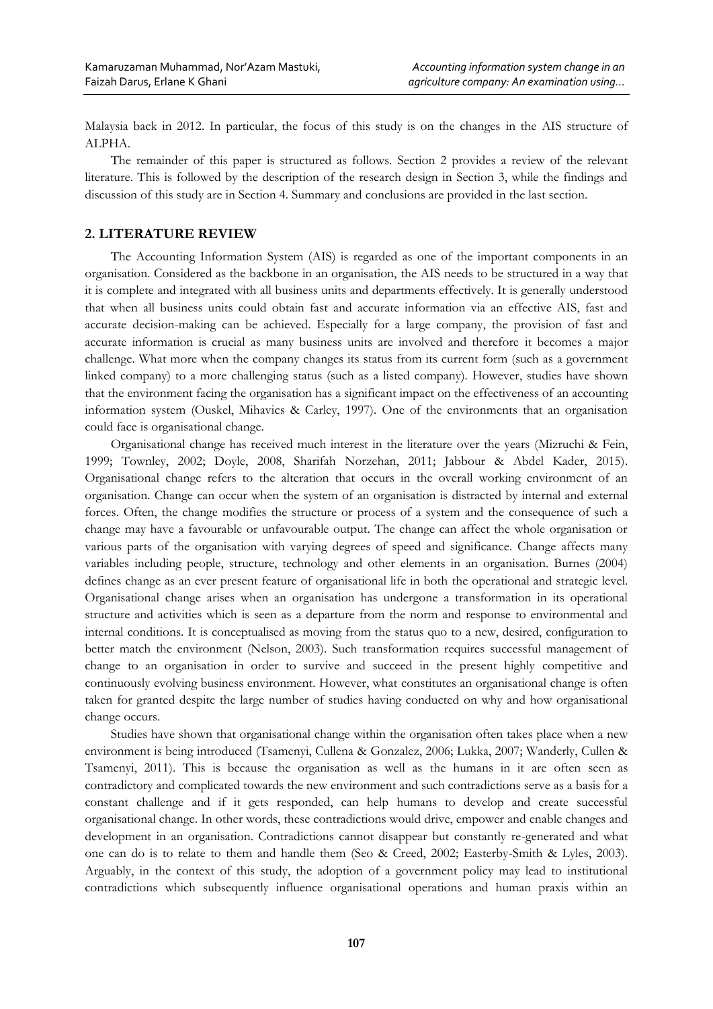Malaysia back in 2012. In particular, the focus of this study is on the changes in the AIS structure of ALPHA.

The remainder of this paper is structured as follows. Section 2 provides a review of the relevant literature. This is followed by the description of the research design in Section 3, while the findings and discussion of this study are in Section 4. Summary and conclusions are provided in the last section.

# **2. LITERATURE REVIEW**

The Accounting Information System (AIS) is regarded as one of the important components in an organisation. Considered as the backbone in an organisation, the AIS needs to be structured in a way that it is complete and integrated with all business units and departments effectively. It is generally understood that when all business units could obtain fast and accurate information via an effective AIS, fast and accurate decision-making can be achieved. Especially for a large company, the provision of fast and accurate information is crucial as many business units are involved and therefore it becomes a major challenge. What more when the company changes its status from its current form (such as a government linked company) to a more challenging status (such as a listed company). However, studies have shown that the environment facing the organisation has a significant impact on the effectiveness of an accounting information system (Ouskel, Mihavics & Carley, 1997). One of the environments that an organisation could face is organisational change.

Organisational change has received much interest in the literature over the years (Mizruchi & Fein, 1999; Townley, 2002; Doyle, 2008, Sharifah Norzehan, 2011; Jabbour & Abdel Kader, 2015). Organisational change refers to the alteration that occurs in the overall working environment of an organisation. Change can occur when the system of an organisation is distracted by internal and external forces. Often, the change modifies the structure or process of a system and the consequence of such a change may have a favourable or unfavourable output. The change can affect the whole organisation or various parts of the organisation with varying degrees of speed and significance. Change affects many variables including people, structure, technology and other elements in an organisation. Burnes (2004) defines change as an ever present feature of organisational life in both the operational and strategic level. Organisational change arises when an organisation has undergone a transformation in its operational structure and activities which is seen as a departure from the norm and response to environmental and internal conditions. It is conceptualised as moving from the status quo to a new, desired, configuration to better match the environment (Nelson, 2003). Such transformation requires successful management of change to an organisation in order to survive and succeed in the present highly competitive and continuously evolving business environment. However, what constitutes an organisational change is often taken for granted despite the large number of studies having conducted on why and how organisational change occurs.

Studies have shown that organisational change within the organisation often takes place when a new environment is being introduced (Tsamenyi, Cullena & Gonzalez, 2006; Lukka, 2007; Wanderly, Cullen & Tsamenyi, 2011). This is because the organisation as well as the humans in it are often seen as contradictory and complicated towards the new environment and such contradictions serve as a basis for a constant challenge and if it gets responded, can help humans to develop and create successful organisational change. In other words, these contradictions would drive, empower and enable changes and development in an organisation. Contradictions cannot disappear but constantly re-generated and what one can do is to relate to them and handle them (Seo & Creed, 2002; Easterby-Smith & Lyles, 2003). Arguably, in the context of this study, the adoption of a government policy may lead to institutional contradictions which subsequently influence organisational operations and human praxis within an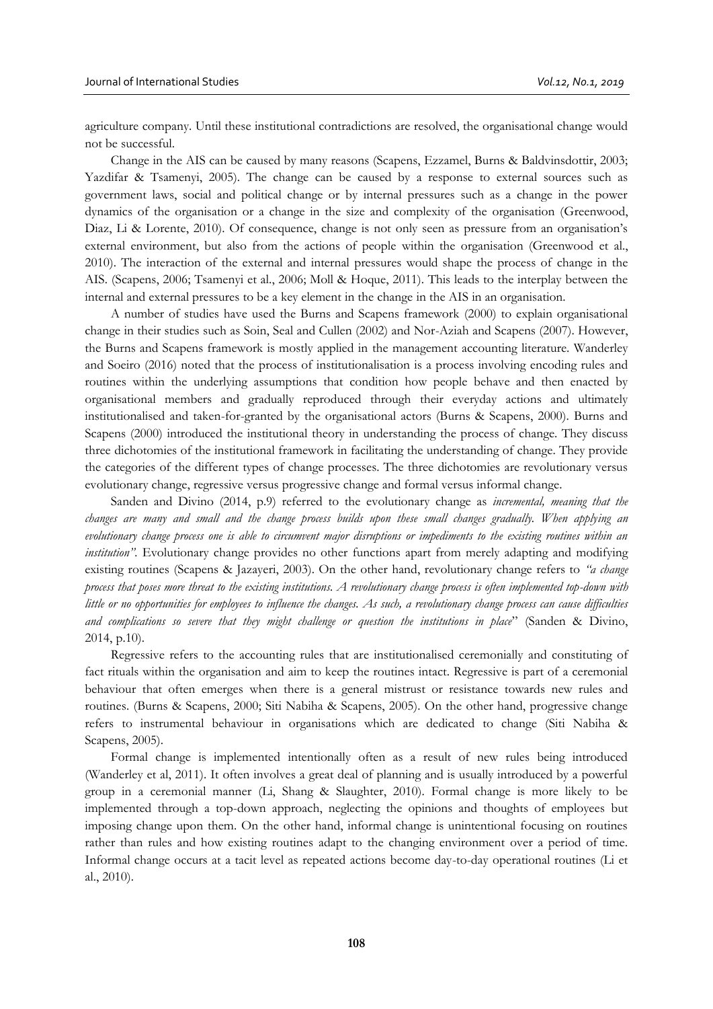agriculture company. Until these institutional contradictions are resolved, the organisational change would not be successful.

Change in the AIS can be caused by many reasons (Scapens, Ezzamel, Burns & Baldvinsdottir, 2003; Yazdifar & Tsamenyi, 2005). The change can be caused by a response to external sources such as government laws, social and political change or by internal pressures such as a change in the power dynamics of the organisation or a change in the size and complexity of the organisation (Greenwood, Diaz, Li & Lorente, 2010). Of consequence, change is not only seen as pressure from an organisation's external environment, but also from the actions of people within the organisation (Greenwood et al., 2010). The interaction of the external and internal pressures would shape the process of change in the AIS. (Scapens, 2006; Tsamenyi et al., 2006; Moll & Hoque, 2011). This leads to the interplay between the internal and external pressures to be a key element in the change in the AIS in an organisation.

A number of studies have used the Burns and Scapens framework (2000) to explain organisational change in their studies such as Soin, Seal and Cullen (2002) and Nor-Aziah and Scapens (2007). However, the Burns and Scapens framework is mostly applied in the management accounting literature. Wanderley and Soeiro (2016) noted that the process of institutionalisation is a process involving encoding rules and routines within the underlying assumptions that condition how people behave and then enacted by organisational members and gradually reproduced through their everyday actions and ultimately institutionalised and taken-for-granted by the organisational actors (Burns & Scapens, 2000). Burns and Scapens (2000) introduced the institutional theory in understanding the process of change. They discuss three dichotomies of the institutional framework in facilitating the understanding of change. They provide the categories of the different types of change processes. The three dichotomies are revolutionary versus evolutionary change, regressive versus progressive change and formal versus informal change.

Sanden and Divino (2014, p.9) referred to the evolutionary change as *incremental, meaning that the changes are many and small and the change process builds upon these small changes gradually. When applying an evolutionary change process one is able to circumvent major disruptions or impediments to the existing routines within an institution"*. Evolutionary change provides no other functions apart from merely adapting and modifying existing routines (Scapens & Jazayeri, 2003). On the other hand, revolutionary change refers to *"a change process that poses more threat to the existing institutions. A revolutionary change process is often implemented top-down with little or no opportunities for employees to influence the changes. As such, a revolutionary change process can cause difficulties and complications so severe that they might challenge or question the institutions in place*" (Sanden & Divino, 2014, p.10).

Regressive refers to the accounting rules that are institutionalised ceremonially and constituting of fact rituals within the organisation and aim to keep the routines intact. Regressive is part of a ceremonial behaviour that often emerges when there is a general mistrust or resistance towards new rules and routines. (Burns & Scapens, 2000; Siti Nabiha & Scapens, 2005). On the other hand, progressive change refers to instrumental behaviour in organisations which are dedicated to change (Siti Nabiha & Scapens, 2005).

Formal change is implemented intentionally often as a result of new rules being introduced (Wanderley et al, 2011). It often involves a great deal of planning and is usually introduced by a powerful group in a ceremonial manner (Li, Shang & Slaughter, 2010). Formal change is more likely to be implemented through a top-down approach, neglecting the opinions and thoughts of employees but imposing change upon them. On the other hand, informal change is unintentional focusing on routines rather than rules and how existing routines adapt to the changing environment over a period of time. Informal change occurs at a tacit level as repeated actions become day-to-day operational routines (Li et al., 2010).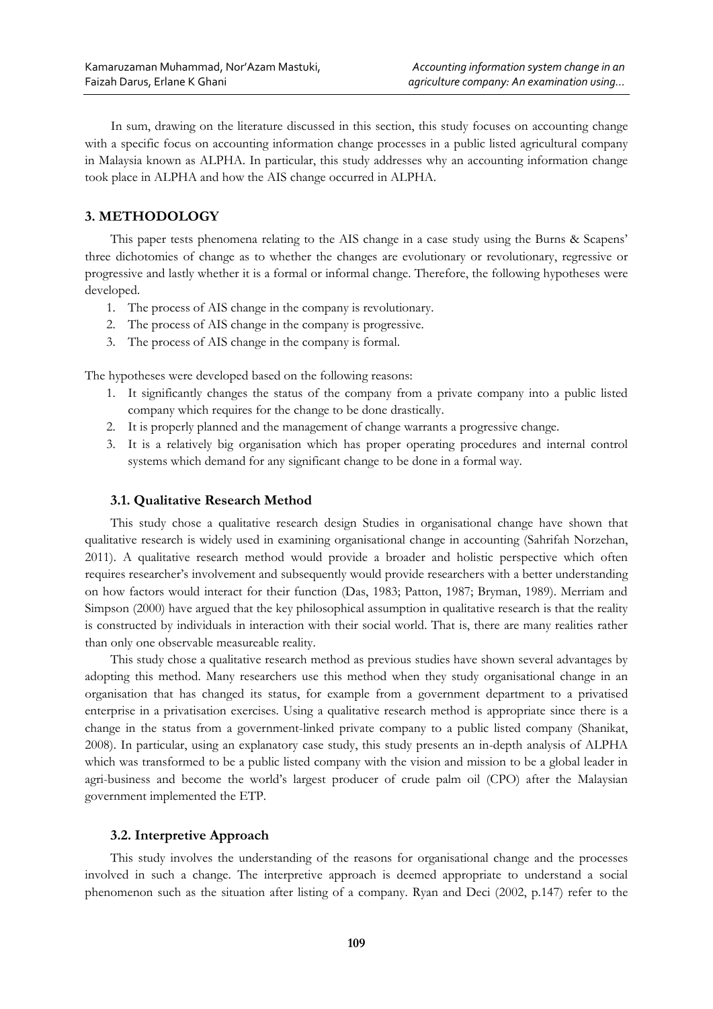In sum, drawing on the literature discussed in this section, this study focuses on accounting change with a specific focus on accounting information change processes in a public listed agricultural company in Malaysia known as ALPHA. In particular, this study addresses why an accounting information change took place in ALPHA and how the AIS change occurred in ALPHA.

# **3. METHODOLOGY**

This paper tests phenomena relating to the AIS change in a case study using the Burns & Scapens' three dichotomies of change as to whether the changes are evolutionary or revolutionary, regressive or progressive and lastly whether it is a formal or informal change. Therefore, the following hypotheses were developed.

- 1. The process of AIS change in the company is revolutionary.
- 2. The process of AIS change in the company is progressive.
- 3. The process of AIS change in the company is formal.

The hypotheses were developed based on the following reasons:

- 1. It significantly changes the status of the company from a private company into a public listed company which requires for the change to be done drastically.
- 2. It is properly planned and the management of change warrants a progressive change.
- 3. It is a relatively big organisation which has proper operating procedures and internal control systems which demand for any significant change to be done in a formal way.

# **3.1. Qualitative Research Method**

This study chose a qualitative research design Studies in organisational change have shown that qualitative research is widely used in examining organisational change in accounting (Sahrifah Norzehan, 2011). A qualitative research method would provide a broader and holistic perspective which often requires researcher's involvement and subsequently would provide researchers with a better understanding on how factors would interact for their function (Das, 1983; Patton, 1987; Bryman, 1989). Merriam and Simpson (2000) have argued that the key philosophical assumption in qualitative research is that the reality is constructed by individuals in interaction with their social world. That is, there are many realities rather than only one observable measureable reality.

This study chose a qualitative research method as previous studies have shown several advantages by adopting this method. Many researchers use this method when they study organisational change in an organisation that has changed its status, for example from a government department to a privatised enterprise in a privatisation exercises. Using a qualitative research method is appropriate since there is a change in the status from a government-linked private company to a public listed company (Shanikat, 2008). In particular, using an explanatory case study, this study presents an in-depth analysis of ALPHA which was transformed to be a public listed company with the vision and mission to be a global leader in agri-business and become the world's largest producer of crude palm oil (CPO) after the Malaysian government implemented the ETP.

### **3.2. Interpretive Approach**

This study involves the understanding of the reasons for organisational change and the processes involved in such a change. The interpretive approach is deemed appropriate to understand a social phenomenon such as the situation after listing of a company. Ryan and Deci (2002, p.147) refer to the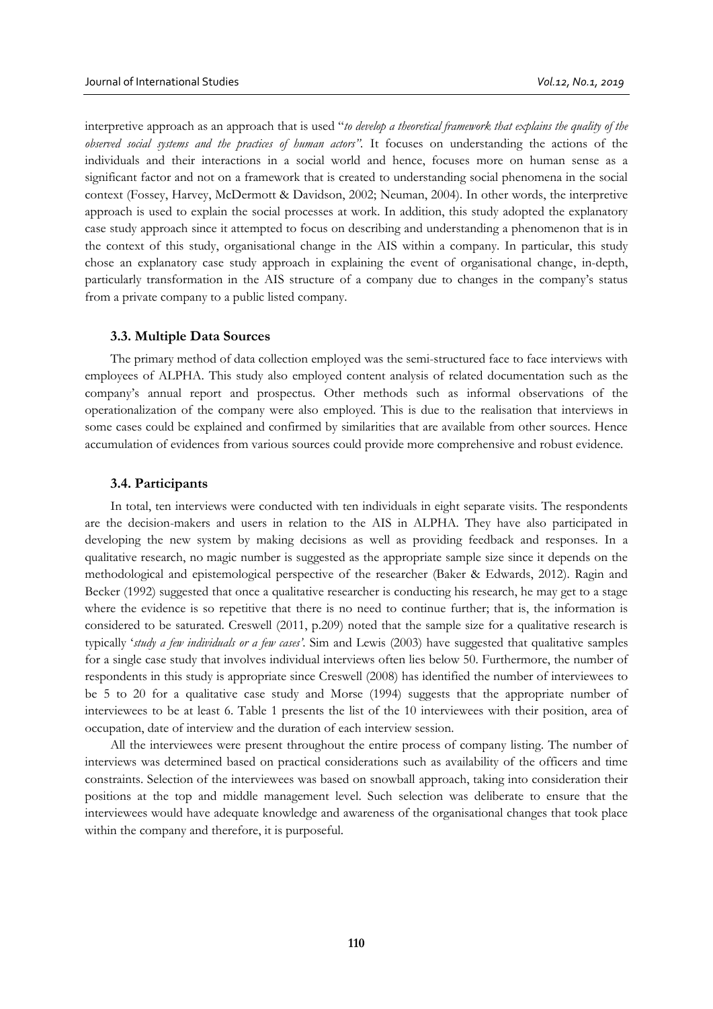interpretive approach as an approach that is used "*to develop a theoretical framework that explains the quality of the observed social systems and the practices of human actors".* It focuses on understanding the actions of the individuals and their interactions in a social world and hence, focuses more on human sense as a significant factor and not on a framework that is created to understanding social phenomena in the social context (Fossey, Harvey, McDermott & Davidson, 2002; Neuman, 2004). In other words, the interpretive approach is used to explain the social processes at work. In addition, this study adopted the explanatory case study approach since it attempted to focus on describing and understanding a phenomenon that is in the context of this study, organisational change in the AIS within a company. In particular, this study chose an explanatory case study approach in explaining the event of organisational change, in-depth, particularly transformation in the AIS structure of a company due to changes in the company's status from a private company to a public listed company.

### **3.3. Multiple Data Sources**

The primary method of data collection employed was the semi-structured face to face interviews with employees of ALPHA. This study also employed content analysis of related documentation such as the company's annual report and prospectus. Other methods such as informal observations of the operationalization of the company were also employed. This is due to the realisation that interviews in some cases could be explained and confirmed by similarities that are available from other sources. Hence accumulation of evidences from various sources could provide more comprehensive and robust evidence.

#### **3.4. Participants**

In total, ten interviews were conducted with ten individuals in eight separate visits. The respondents are the decision-makers and users in relation to the AIS in ALPHA. They have also participated in developing the new system by making decisions as well as providing feedback and responses. In a qualitative research, no magic number is suggested as the appropriate sample size since it depends on the methodological and epistemological perspective of the researcher (Baker & Edwards, 2012). Ragin and Becker (1992) suggested that once a qualitative researcher is conducting his research, he may get to a stage where the evidence is so repetitive that there is no need to continue further; that is, the information is considered to be saturated. Creswell (2011, p.209) noted that the sample size for a qualitative research is typically '*study a few individuals or a few cases'*. Sim and Lewis (2003) have suggested that qualitative samples for a single case study that involves individual interviews often lies below 50. Furthermore, the number of respondents in this study is appropriate since Creswell (2008) has identified the number of interviewees to be 5 to 20 for a qualitative case study and Morse (1994) suggests that the appropriate number of interviewees to be at least 6. Table 1 presents the list of the 10 interviewees with their position, area of occupation, date of interview and the duration of each interview session.

All the interviewees were present throughout the entire process of company listing. The number of interviews was determined based on practical considerations such as availability of the officers and time constraints. Selection of the interviewees was based on snowball approach, taking into consideration their positions at the top and middle management level. Such selection was deliberate to ensure that the interviewees would have adequate knowledge and awareness of the organisational changes that took place within the company and therefore, it is purposeful.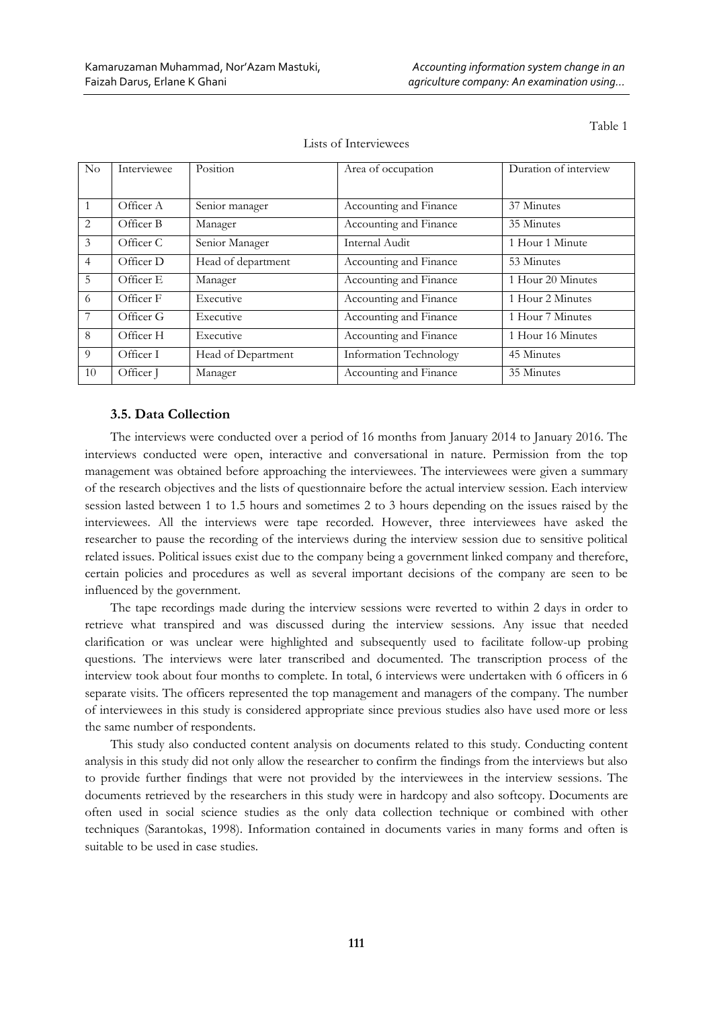Table 1

| No              | Interviewee | Position           | Area of occupation     | Duration of interview |
|-----------------|-------------|--------------------|------------------------|-----------------------|
|                 |             |                    |                        |                       |
| $\vert$ 1       | Officer A   | Senior manager     | Accounting and Finance | 37 Minutes            |
| 2               | Officer B   | Manager            | Accounting and Finance | 35 Minutes            |
| $\mathfrak{Z}$  | Officer C   | Senior Manager     | Internal Audit         | 1 Hour 1 Minute       |
| $\overline{4}$  | Officer D   | Head of department | Accounting and Finance | 53 Minutes            |
| 5               | Officer E   | Manager            | Accounting and Finance | 1 Hour 20 Minutes     |
| 6               | Officer F   | Executive          | Accounting and Finance | 1 Hour 2 Minutes      |
| $7\phantom{.0}$ | Officer G   | Executive          | Accounting and Finance | 1 Hour 7 Minutes      |
| 8               | Officer H   | Executive          | Accounting and Finance | 1 Hour 16 Minutes     |
| 9               | Officer I   | Head of Department | Information Technology | 45 Minutes            |
| 10              | Officer J   | Manager            | Accounting and Finance | 35 Minutes            |

Lists of Interviewees

# **3.5. Data Collection**

The interviews were conducted over a period of 16 months from January 2014 to January 2016. The interviews conducted were open, interactive and conversational in nature. Permission from the top management was obtained before approaching the interviewees. The interviewees were given a summary of the research objectives and the lists of questionnaire before the actual interview session. Each interview session lasted between 1 to 1.5 hours and sometimes 2 to 3 hours depending on the issues raised by the interviewees. All the interviews were tape recorded. However, three interviewees have asked the researcher to pause the recording of the interviews during the interview session due to sensitive political related issues. Political issues exist due to the company being a government linked company and therefore, certain policies and procedures as well as several important decisions of the company are seen to be influenced by the government.

The tape recordings made during the interview sessions were reverted to within 2 days in order to retrieve what transpired and was discussed during the interview sessions. Any issue that needed clarification or was unclear were highlighted and subsequently used to facilitate follow-up probing questions. The interviews were later transcribed and documented. The transcription process of the interview took about four months to complete. In total, 6 interviews were undertaken with 6 officers in 6 separate visits. The officers represented the top management and managers of the company. The number of interviewees in this study is considered appropriate since previous studies also have used more or less the same number of respondents.

This study also conducted content analysis on documents related to this study. Conducting content analysis in this study did not only allow the researcher to confirm the findings from the interviews but also to provide further findings that were not provided by the interviewees in the interview sessions. The documents retrieved by the researchers in this study were in hardcopy and also softcopy. Documents are often used in social science studies as the only data collection technique or combined with other techniques (Sarantokas, 1998). Information contained in documents varies in many forms and often is suitable to be used in case studies.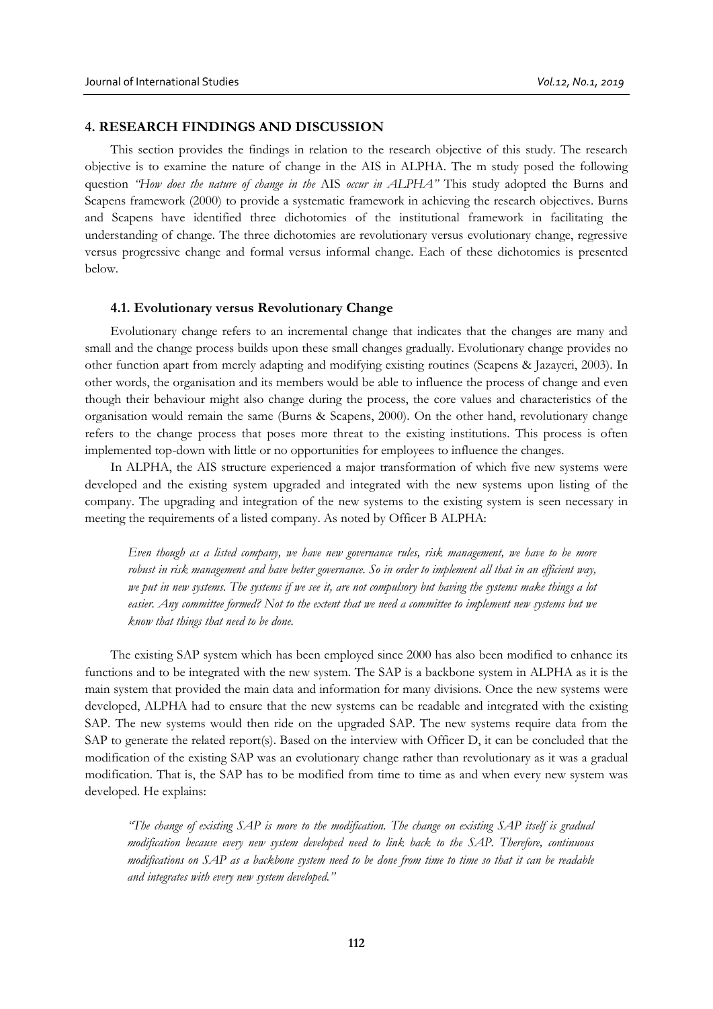# **4. RESEARCH FINDINGS AND DISCUSSION**

This section provides the findings in relation to the research objective of this study. The research objective is to examine the nature of change in the AIS in ALPHA. The m study posed the following question *"How does the nature of change in the* AIS *occur in ALPHA"* This study adopted the Burns and Scapens framework (2000) to provide a systematic framework in achieving the research objectives. Burns and Scapens have identified three dichotomies of the institutional framework in facilitating the understanding of change. The three dichotomies are revolutionary versus evolutionary change, regressive versus progressive change and formal versus informal change. Each of these dichotomies is presented below.

### **4.1. Evolutionary versus Revolutionary Change**

Evolutionary change refers to an incremental change that indicates that the changes are many and small and the change process builds upon these small changes gradually. Evolutionary change provides no other function apart from merely adapting and modifying existing routines (Scapens & Jazayeri, 2003). In other words, the organisation and its members would be able to influence the process of change and even though their behaviour might also change during the process, the core values and characteristics of the organisation would remain the same (Burns & Scapens, 2000). On the other hand, revolutionary change refers to the change process that poses more threat to the existing institutions. This process is often implemented top-down with little or no opportunities for employees to influence the changes.

In ALPHA, the AIS structure experienced a major transformation of which five new systems were developed and the existing system upgraded and integrated with the new systems upon listing of the company. The upgrading and integration of the new systems to the existing system is seen necessary in meeting the requirements of a listed company. As noted by Officer B ALPHA:

*Even though as a listed company, we have new governance rules, risk management, we have to be more robust in risk management and have better governance. So in order to implement all that in an efficient way, we put in new systems. The systems if we see it, are not compulsory but having the systems make things a lot easier. Any committee formed? Not to the extent that we need a committee to implement new systems but we know that things that need to be done.* 

The existing SAP system which has been employed since 2000 has also been modified to enhance its functions and to be integrated with the new system. The SAP is a backbone system in ALPHA as it is the main system that provided the main data and information for many divisions. Once the new systems were developed, ALPHA had to ensure that the new systems can be readable and integrated with the existing SAP. The new systems would then ride on the upgraded SAP. The new systems require data from the SAP to generate the related report(s). Based on the interview with Officer D, it can be concluded that the modification of the existing SAP was an evolutionary change rather than revolutionary as it was a gradual modification. That is, the SAP has to be modified from time to time as and when every new system was developed. He explains:

*"The change of existing SAP is more to the modification. The change on existing SAP itself is gradual modification because every new system developed need to link back to the SAP. Therefore, continuous modifications on SAP as a backbone system need to be done from time to time so that it can be readable and integrates with every new system developed."*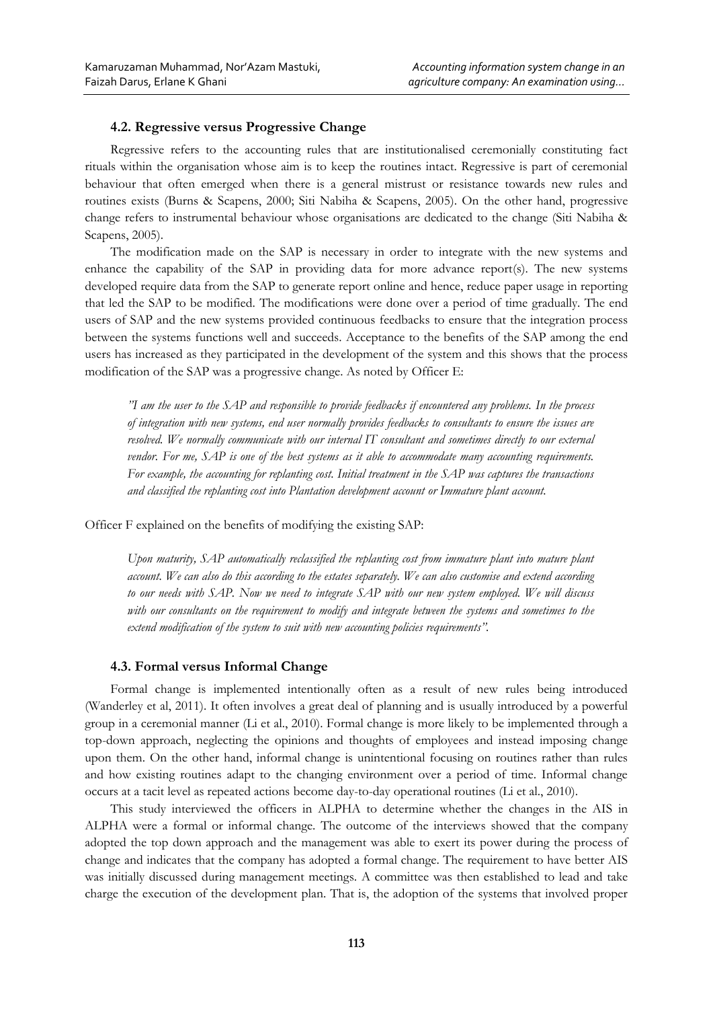# **4.2. Regressive versus Progressive Change**

Regressive refers to the accounting rules that are institutionalised ceremonially constituting fact rituals within the organisation whose aim is to keep the routines intact. Regressive is part of ceremonial behaviour that often emerged when there is a general mistrust or resistance towards new rules and routines exists (Burns & Scapens, 2000; Siti Nabiha & Scapens, 2005). On the other hand, progressive change refers to instrumental behaviour whose organisations are dedicated to the change (Siti Nabiha & Scapens, 2005).

The modification made on the SAP is necessary in order to integrate with the new systems and enhance the capability of the SAP in providing data for more advance report(s). The new systems developed require data from the SAP to generate report online and hence, reduce paper usage in reporting that led the SAP to be modified. The modifications were done over a period of time gradually. The end users of SAP and the new systems provided continuous feedbacks to ensure that the integration process between the systems functions well and succeeds. Acceptance to the benefits of the SAP among the end users has increased as they participated in the development of the system and this shows that the process modification of the SAP was a progressive change. As noted by Officer E:

*"I am the user to the SAP and responsible to provide feedbacks if encountered any problems. In the process of integration with new systems, end user normally provides feedbacks to consultants to ensure the issues are resolved. We normally communicate with our internal IT consultant and sometimes directly to our external vendor. For me, SAP is one of the best systems as it able to accommodate many accounting requirements. For example, the accounting for replanting cost. Initial treatment in the SAP was captures the transactions and classified the replanting cost into Plantation development account or Immature plant account.* 

Officer F explained on the benefits of modifying the existing SAP:

Upon maturity, SAP automatically reclassified the replanting cost from immature plant into mature plant *account. We can also do this according to the estates separately. We can also customise and extend according to our needs with SAP. Now we need to integrate SAP with our new system employed. We will discuss with our consultants on the requirement to modify and integrate between the systems and sometimes to the extend modification of the system to suit with new accounting policies requirements".*

### **4.3. Formal versus Informal Change**

Formal change is implemented intentionally often as a result of new rules being introduced (Wanderley et al, 2011). It often involves a great deal of planning and is usually introduced by a powerful group in a ceremonial manner (Li et al., 2010). Formal change is more likely to be implemented through a top-down approach, neglecting the opinions and thoughts of employees and instead imposing change upon them. On the other hand, informal change is unintentional focusing on routines rather than rules and how existing routines adapt to the changing environment over a period of time. Informal change occurs at a tacit level as repeated actions become day-to-day operational routines (Li et al., 2010).

This study interviewed the officers in ALPHA to determine whether the changes in the AIS in ALPHA were a formal or informal change. The outcome of the interviews showed that the company adopted the top down approach and the management was able to exert its power during the process of change and indicates that the company has adopted a formal change. The requirement to have better AIS was initially discussed during management meetings. A committee was then established to lead and take charge the execution of the development plan. That is, the adoption of the systems that involved proper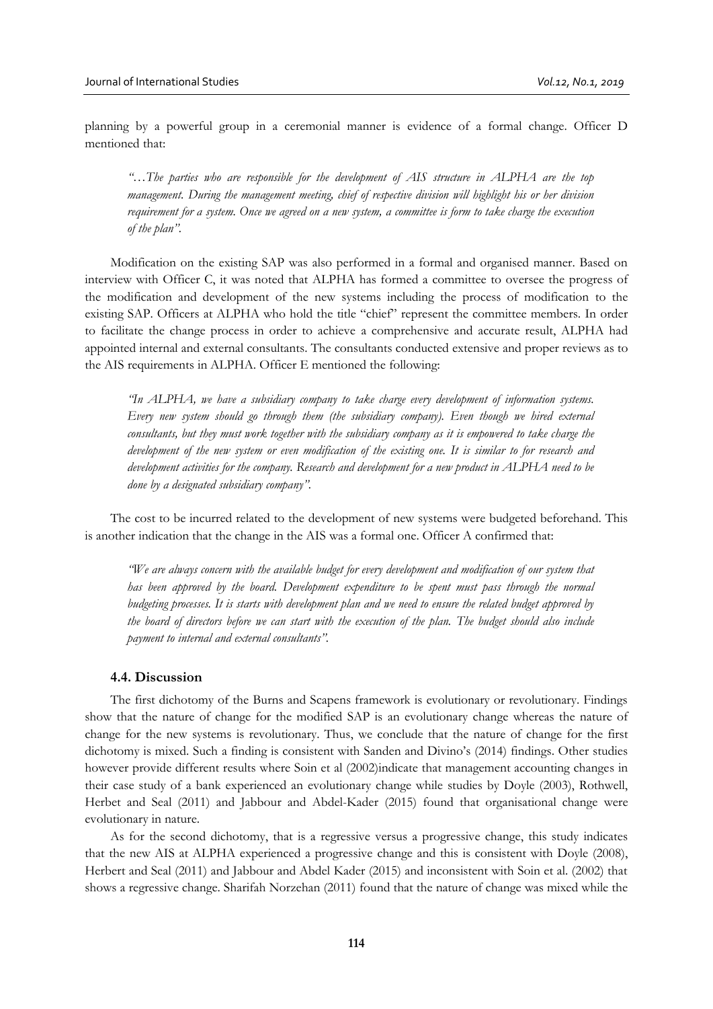planning by a powerful group in a ceremonial manner is evidence of a formal change. Officer D mentioned that:

*"…The parties who are responsible for the development of AIS structure in ALPHA are the top management. During the management meeting, chief of respective division will highlight his or her division requirement for a system. Once we agreed on a new system, a committee is form to take charge the execution of the plan".* 

Modification on the existing SAP was also performed in a formal and organised manner. Based on interview with Officer C, it was noted that ALPHA has formed a committee to oversee the progress of the modification and development of the new systems including the process of modification to the existing SAP. Officers at ALPHA who hold the title "chief" represent the committee members. In order to facilitate the change process in order to achieve a comprehensive and accurate result, ALPHA had appointed internal and external consultants. The consultants conducted extensive and proper reviews as to the AIS requirements in ALPHA. Officer E mentioned the following:

*"In ALPHA, we have a subsidiary company to take charge every development of information systems. Every new system should go through them (the subsidiary company). Even though we hired external consultants, but they must work together with the subsidiary company as it is empowered to take charge the development of the new system or even modification of the existing one. It is similar to for research and development activities for the company. Research and development for a new product in ALPHA need to be done by a designated subsidiary company".* 

The cost to be incurred related to the development of new systems were budgeted beforehand. This is another indication that the change in the AIS was a formal one. Officer A confirmed that:

*"We are always concern with the available budget for every development and modification of our system that has been approved by the board. Development expenditure to be spent must pass through the normal budgeting processes. It is starts with development plan and we need to ensure the related budget approved by the board of directors before we can start with the execution of the plan. The budget should also include payment to internal and external consultants".* 

# **4.4. Discussion**

The first dichotomy of the Burns and Scapens framework is evolutionary or revolutionary. Findings show that the nature of change for the modified SAP is an evolutionary change whereas the nature of change for the new systems is revolutionary. Thus, we conclude that the nature of change for the first dichotomy is mixed. Such a finding is consistent with Sanden and Divino's (2014) findings. Other studies however provide different results where Soin et al (2002)indicate that management accounting changes in their case study of a bank experienced an evolutionary change while studies by Doyle (2003), Rothwell, Herbet and Seal (2011) and Jabbour and Abdel-Kader (2015) found that organisational change were evolutionary in nature.

As for the second dichotomy, that is a regressive versus a progressive change, this study indicates that the new AIS at ALPHA experienced a progressive change and this is consistent with Doyle (2008), Herbert and Seal (2011) and Jabbour and Abdel Kader (2015) and inconsistent with Soin et al. (2002) that shows a regressive change. Sharifah Norzehan (2011) found that the nature of change was mixed while the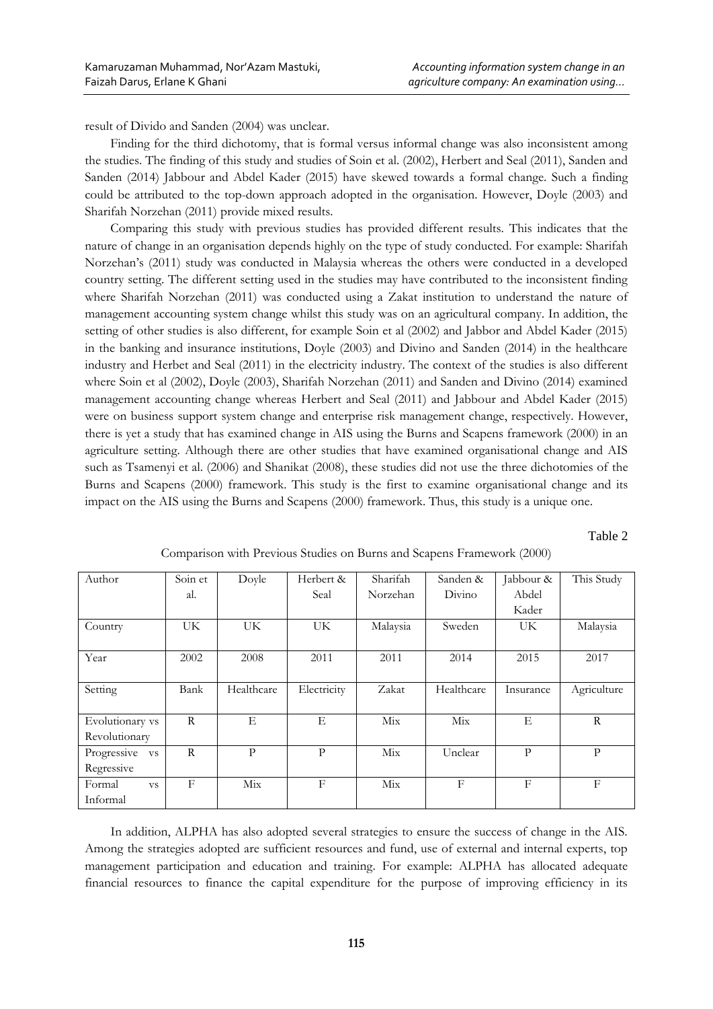result of Divido and Sanden (2004) was unclear.

Finding for the third dichotomy, that is formal versus informal change was also inconsistent among the studies. The finding of this study and studies of Soin et al. (2002), Herbert and Seal (2011), Sanden and Sanden (2014) Jabbour and Abdel Kader (2015) have skewed towards a formal change. Such a finding could be attributed to the top-down approach adopted in the organisation. However, Doyle (2003) and Sharifah Norzehan (2011) provide mixed results.

Comparing this study with previous studies has provided different results. This indicates that the nature of change in an organisation depends highly on the type of study conducted. For example: Sharifah Norzehan's (2011) study was conducted in Malaysia whereas the others were conducted in a developed country setting. The different setting used in the studies may have contributed to the inconsistent finding where Sharifah Norzehan (2011) was conducted using a Zakat institution to understand the nature of management accounting system change whilst this study was on an agricultural company. In addition, the setting of other studies is also different, for example Soin et al (2002) and Jabbor and Abdel Kader (2015) in the banking and insurance institutions, Doyle (2003) and Divino and Sanden (2014) in the healthcare industry and Herbet and Seal (2011) in the electricity industry. The context of the studies is also different where Soin et al (2002), Doyle (2003), Sharifah Norzehan (2011) and Sanden and Divino (2014) examined management accounting change whereas Herbert and Seal (2011) and Jabbour and Abdel Kader (2015) were on business support system change and enterprise risk management change, respectively. However, there is yet a study that has examined change in AIS using the Burns and Scapens framework (2000) in an agriculture setting. Although there are other studies that have examined organisational change and AIS such as Tsamenyi et al. (2006) and Shanikat (2008), these studies did not use the three dichotomies of the Burns and Scapens (2000) framework. This study is the first to examine organisational change and its impact on the AIS using the Burns and Scapens (2000) framework. Thus, this study is a unique one.

Table 2

| Author                   | Soin et      | Doyle      | Herbert &   | Sharifah | Sanden &   | Jabbour &    | This Study  |
|--------------------------|--------------|------------|-------------|----------|------------|--------------|-------------|
|                          | al.          |            | Seal        | Norzehan | Divino     | Abdel        |             |
|                          |              |            |             |          |            | Kader        |             |
| Country                  | UK.          | UK.        | UK.         | Malaysia | Sweden     | UK           | Malaysia    |
|                          |              |            |             |          |            |              |             |
| Year                     | 2002         | 2008       | 2011        | 2011     | 2014       | 2015         | 2017        |
|                          |              |            |             |          |            |              |             |
| Setting                  | Bank         | Healthcare | Electricity | Zakat    | Healthcare | Insurance    | Agriculture |
|                          |              |            |             |          |            |              |             |
| Evolutionary vs          | $\mathbb{R}$ | Е          | Ε           | Mix      | Mix        | Е            | R           |
| Revolutionary            |              |            |             |          |            |              |             |
| Progressive<br><b>VS</b> | $\mathbb{R}$ | P          | P           | Mix      | Unclear    | $\mathbf{P}$ | P           |
| Regressive               |              |            |             |          |            |              |             |
| Formal<br><b>VS</b>      | $_{\rm F}$   | Mix        | $_{\rm F}$  | Mix      | F          | F            | $_{\rm F}$  |
| Informal                 |              |            |             |          |            |              |             |

Comparison with Previous Studies on Burns and Scapens Framework (2000)

In addition, ALPHA has also adopted several strategies to ensure the success of change in the AIS. Among the strategies adopted are sufficient resources and fund, use of external and internal experts, top management participation and education and training. For example: ALPHA has allocated adequate financial resources to finance the capital expenditure for the purpose of improving efficiency in its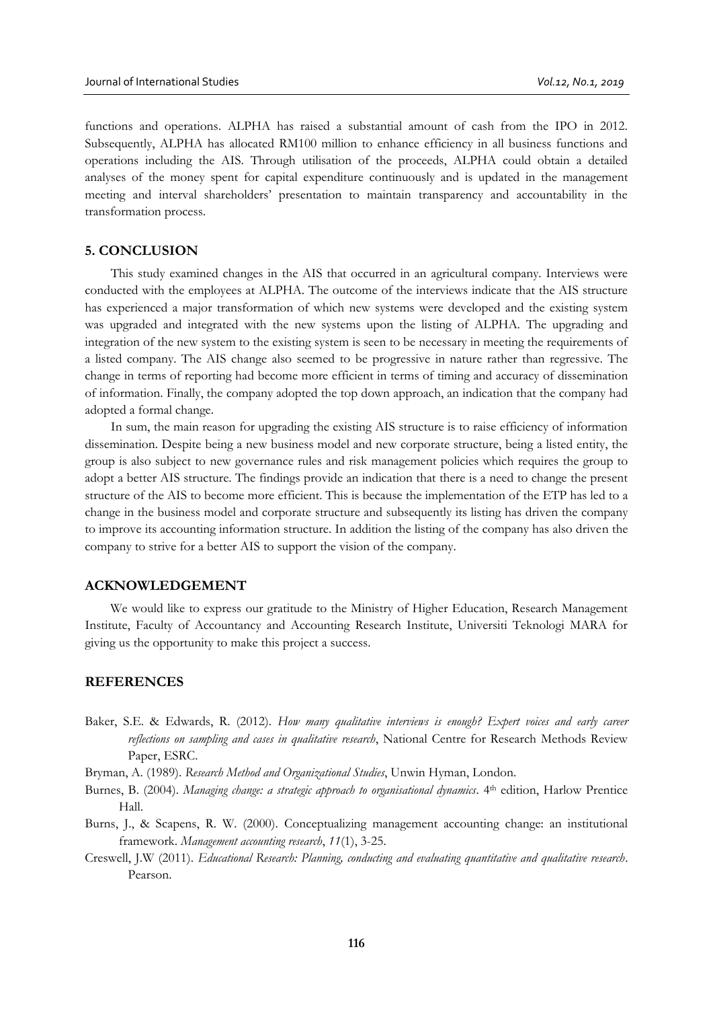functions and operations. ALPHA has raised a substantial amount of cash from the IPO in 2012. Subsequently, ALPHA has allocated RM100 million to enhance efficiency in all business functions and operations including the AIS. Through utilisation of the proceeds, ALPHA could obtain a detailed analyses of the money spent for capital expenditure continuously and is updated in the management meeting and interval shareholders' presentation to maintain transparency and accountability in the transformation process.

### **5. CONCLUSION**

This study examined changes in the AIS that occurred in an agricultural company. Interviews were conducted with the employees at ALPHA. The outcome of the interviews indicate that the AIS structure has experienced a major transformation of which new systems were developed and the existing system was upgraded and integrated with the new systems upon the listing of ALPHA. The upgrading and integration of the new system to the existing system is seen to be necessary in meeting the requirements of a listed company. The AIS change also seemed to be progressive in nature rather than regressive. The change in terms of reporting had become more efficient in terms of timing and accuracy of dissemination of information. Finally, the company adopted the top down approach, an indication that the company had adopted a formal change.

In sum, the main reason for upgrading the existing AIS structure is to raise efficiency of information dissemination. Despite being a new business model and new corporate structure, being a listed entity, the group is also subject to new governance rules and risk management policies which requires the group to adopt a better AIS structure. The findings provide an indication that there is a need to change the present structure of the AIS to become more efficient. This is because the implementation of the ETP has led to a change in the business model and corporate structure and subsequently its listing has driven the company to improve its accounting information structure. In addition the listing of the company has also driven the company to strive for a better AIS to support the vision of the company.

# **ACKNOWLEDGEMENT**

We would like to express our gratitude to the Ministry of Higher Education, Research Management Institute, Faculty of Accountancy and Accounting Research Institute, Universiti Teknologi MARA for giving us the opportunity to make this project a success.

### **REFERENCES**

- Baker, S.E. & Edwards, R. (2012). *How many qualitative interviews is enough? Expert voices and early career reflections on sampling and cases in qualitative research*, National Centre for Research Methods Review Paper, ESRC.
- Bryman, A. (1989). *Research Method and Organizational Studies*, Unwin Hyman, London.
- Burnes, B. (2004). *Managing change: a strategic approach to organisational dynamics*. 4<sup>th</sup> edition, Harlow Prentice Hall.
- Burns, J., & Scapens, R. W. (2000). Conceptualizing management accounting change: an institutional framework. *Management accounting research*, *11*(1), 3-25.
- Creswell, J.W (2011). *Educational Research: Planning, conducting and evaluating quantitative and qualitative research*. Pearson.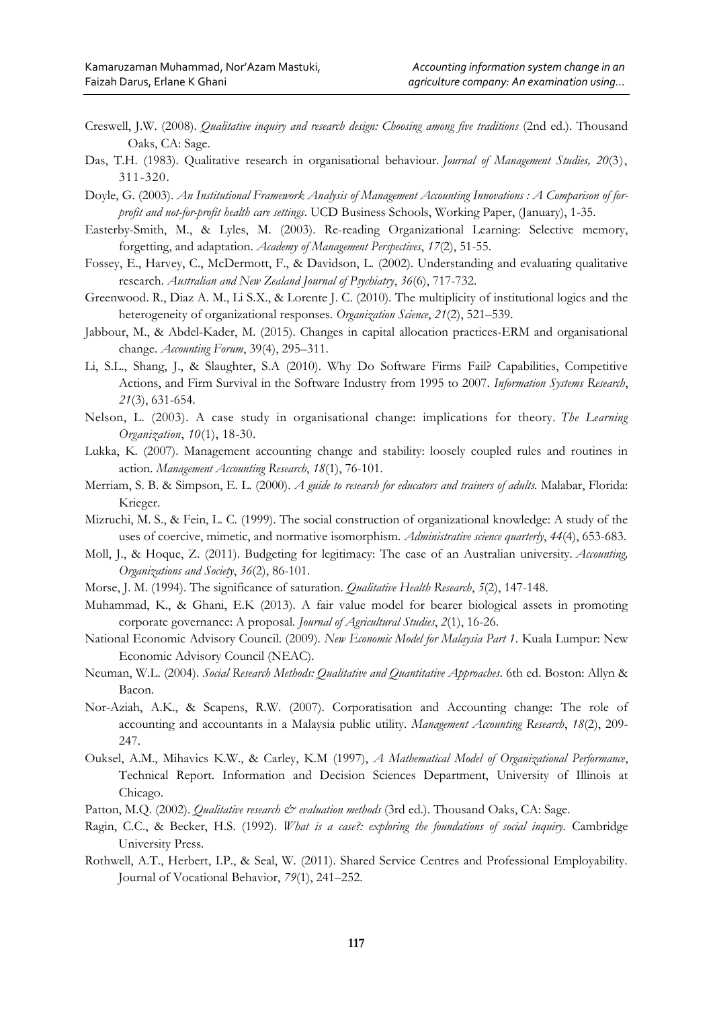- Creswell, J.W. (2008). *Qualitative inquiry and research design: Choosing among five traditions* (2nd ed.). Thousand Oaks, CA: Sage.
- Das, T.H. (1983). Qualitative research in organisational behaviour. *Journal of Management Studies, 20*(3), 311-320.
- Doyle, G. (2003). *An Institutional Framework Analysis of Management Accounting Innovations : A Comparison of forprofit and not-for-profit health care settings*. UCD Business Schools, Working Paper, (January), 1-35.
- Easterby-Smith, M., & Lyles, M. (2003). Re-reading Organizational Learning: Selective memory, forgetting, and adaptation. *Academy of Management Perspectives*, *17*(2), 51-55.
- Fossey, E., Harvey, C., McDermott, F., & Davidson, L. (2002). Understanding and evaluating qualitative research. *Australian and New Zealand Journal of Psychiatry*, *36*(6), 717-732.
- Greenwood. R., Diaz A. M., Li S.X., & Lorente J. C. (2010). The multiplicity of institutional logics and the heterogeneity of organizational responses. *Organization Science*, *21*(2), 521–539.
- Jabbour, M., & Abdel-Kader, M. (2015). Changes in capital allocation practices-ERM and organisational change. *Accounting Forum*, 39(4), 295–311.
- Li, S.L., Shang, J., & Slaughter, S.A (2010). Why Do Software Firms Fail? Capabilities, Competitive Actions, and Firm Survival in the Software Industry from 1995 to 2007. *Information Systems Research*, *21*(3), 631-654.
- Nelson, L. (2003). A case study in organisational change: implications for theory. *The Learning Organization*, *10*(1), 18-30.
- Lukka, K. (2007). Management accounting change and stability: loosely coupled rules and routines in action. *Management Accounting Research*, *18*(1), 76-101.
- Merriam, S. B. & Simpson, E. L. (2000). *A guide to research for educators and trainers of adults.* Malabar, Florida: Krieger.
- Mizruchi, M. S., & Fein, L. C. (1999). The social construction of organizational knowledge: A study of the uses of coercive, mimetic, and normative isomorphism. *Administrative science quarterly*, *44*(4), 653-683.
- Moll, J., & Hoque, Z. (2011). Budgeting for legitimacy: The case of an Australian university. *Accounting, Organizations and Society*, *36*(2), 86-101.
- Morse, J. M. (1994). The significance of saturation. *Qualitative Health Research*, *5*(2), 147-148.
- Muhammad, K., & Ghani, E.K (2013). A fair value model for bearer biological assets in promoting corporate governance: A proposal. *Journal of Agricultural Studies*, *2*(1), 16-26.
- National Economic Advisory Council. (2009). *New Economic Model for Malaysia Part 1*. Kuala Lumpur: New Economic Advisory Council (NEAC).
- Neuman, W.L. (2004). *Social Research Methods: Qualitative and Quantitative Approaches*. 6th ed. Boston: Allyn & Bacon.
- Nor-Aziah, A.K., & Scapens, R.W. (2007). Corporatisation and Accounting change: The role of accounting and accountants in a Malaysia public utility. *Management Accounting Research*, *18*(2), 209- 247.
- Ouksel, A.M., Mihavics K.W., & Carley, K.M (1997), *A Mathematical Model of Organizational Performance*, Technical Report. Information and Decision Sciences Department, University of Illinois at Chicago.
- Patton, M.Q. (2002). *Qualitative research & evaluation methods* (3rd ed.). Thousand Oaks, CA: Sage.
- Ragin, C.C., & Becker, H.S. (1992). *What is a case?: exploring the foundations of social inquiry.* Cambridge University Press.
- Rothwell, A.T., Herbert, I.P., & Seal, W. (2011). Shared Service Centres and Professional Employability. Journal of Vocational Behavior, *79*(1), 241–252.